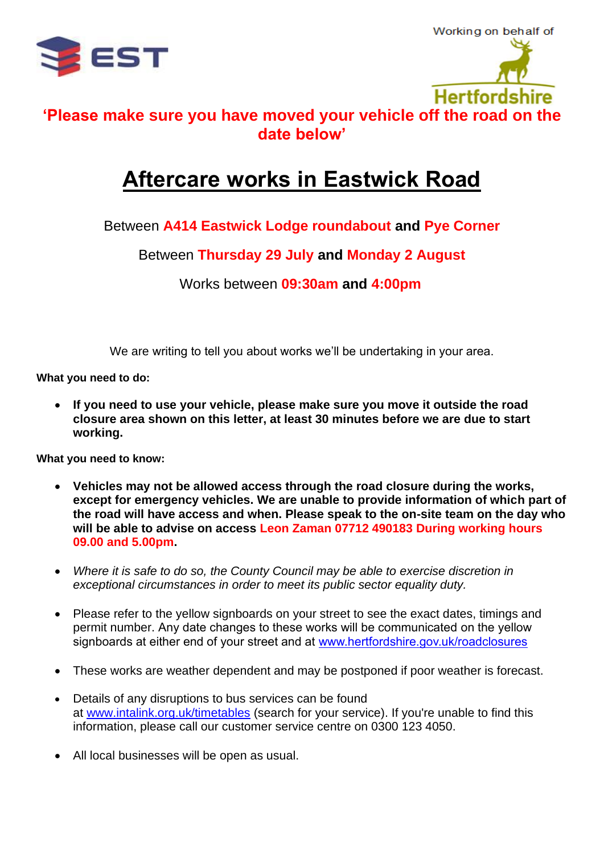



## **'Please make sure you have moved your vehicle off the road on the date below'**

## **Aftercare works in Eastwick Road**

## Between **A414 Eastwick Lodge roundabout and Pye Corner**

Between **Thursday 29 July and Monday 2 August**

Works between **09:30am and 4:00pm**

We are writing to tell you about works we'll be undertaking in your area.

**What you need to do:**

• **If you need to use your vehicle, please make sure you move it outside the road closure area shown on this letter, at least 30 minutes before we are due to start working.**

**What you need to know:**

- **Vehicles may not be allowed access through the road closure during the works, except for emergency vehicles. We are unable to provide information of which part of the road will have access and when. Please speak to the on-site team on the day who will be able to advise on access Leon Zaman 07712 490183 During working hours 09.00 and 5.00pm.**
- *Where it is safe to do so, the County Council may be able to exercise discretion in exceptional circumstances in order to meet its public sector equality duty.*
- Please refer to the yellow signboards on your street to see the exact dates, timings and permit number. Any date changes to these works will be communicated on the yellow signboards at either end of your street and at [www.hertfordshire.gov.uk/roadclosures](http://www.hertfordshire.gov.uk/roadclosures)
- These works are weather dependent and may be postponed if poor weather is forecast.
- Details of any disruptions to bus services can be found at [www.intalink.org.uk/timetables](http://www.intalink.org.uk/timetables) (search for your service). If you're unable to find this information, please call our customer service centre on 0300 123 4050.
- All local businesses will be open as usual.